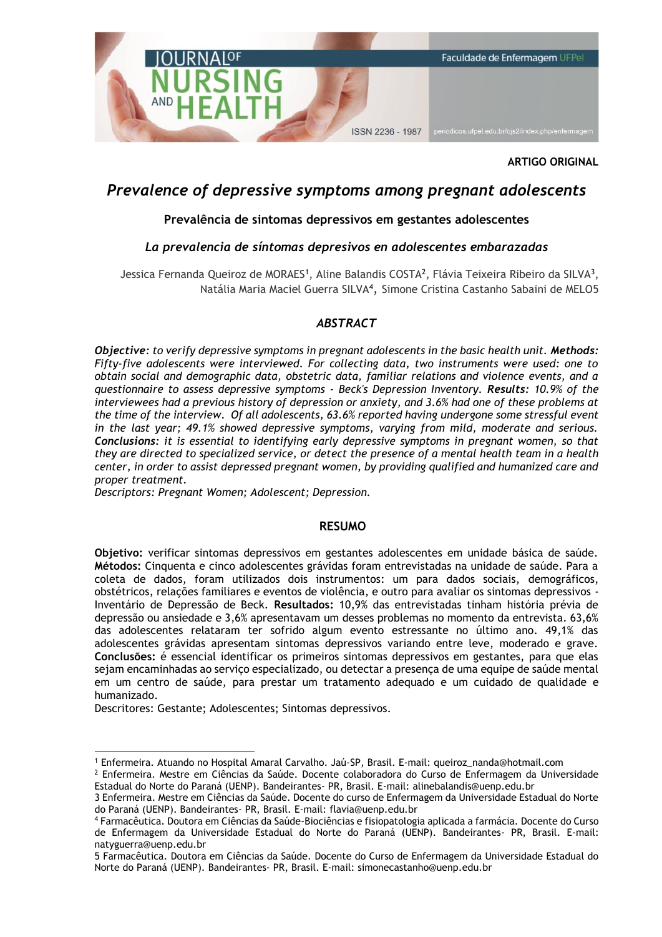

#### **ARTIGO ORIGINAL**

# *Prevalence of depressive symptoms among pregnant adolescents*

#### **Prevalência de sintomas depressivos em gestantes adolescentes**

### *La prevalencia de síntomas depresivos en adolescentes embarazadas*

Jessica Fernanda Queiroz de MORAES<sup>1</sup>, Aline Balandis COSTA<sup>2</sup>, Flávia Teixeira Ribeiro da SILVA<sup>3</sup>, Natália Maria Maciel Guerra SILVA<sup>4</sup>, Simone Cristina Castanho Sabaini de MELO5

#### *ABSTRACT*

*Objective: to verify depressive symptoms in pregnant adolescents in the basic health unit. Methods: Fifty-five adolescents were interviewed. For collecting data, two instruments were used: one to obtain social and demographic data, obstetric data, familiar relations and violence events, and a questionnaire to assess depressive symptoms - Beck's Depression Inventory. Results: 10.9% of the interviewees had a previous history of depression or anxiety, and 3.6% had one of these problems at the time of the interview. Of all adolescents, 63.6% reported having undergone some stressful event in the last year; 49.1% showed depressive symptoms, varying from mild, moderate and serious. Conclusions: it is essential to identifying early depressive symptoms in pregnant women, so that they are directed to specialized service, or detect the presence of a mental health team in a health center, in order to assist depressed pregnant women, by providing qualified and humanized care and proper treatment.* 

*Descriptors: Pregnant Women; Adolescent; Depression.* 

#### **RESUMO**

**Objetivo:** verificar sintomas depressivos em gestantes adolescentes em unidade básica de saúde. **Métodos:** Cinquenta e cinco adolescentes grávidas foram entrevistadas na unidade de saúde. Para a coleta de dados, foram utilizados dois instrumentos: um para dados sociais, demográficos, obstétricos, relações familiares e eventos de violência, e outro para avaliar os sintomas depressivos - Inventário de Depressão de Beck. **Resultados:** 10,9% das entrevistadas tinham história prévia de depressão ou ansiedade e 3,6% apresentavam um desses problemas no momento da entrevista. 63,6% das adolescentes relataram ter sofrido algum evento estressante no último ano. 49,1% das adolescentes grávidas apresentam sintomas depressivos variando entre leve, moderado e grave. **Conclusões:** é essencial identificar os primeiros sintomas depressivos em gestantes, para que elas sejam encaminhadas ao serviço especializado, ou detectar a presença de uma equipe de saúde mental em um centro de saúde, para prestar um tratamento adequado e um cuidado de qualidade e humanizado.

Descritores: Gestante; Adolescentes; Sintomas depressivos.

<sup>&</sup>lt;u>.</u> <sup>1</sup> Enfermeira. Atuando no Hospital Amaral Carvalho. Jaú-SP, Brasil. E-mail: queiroz\_nanda@hotmail.com

 $<sup>2</sup>$  Enfermeira. Mestre em Ciências da Saúde. Docente colaboradora do Curso de Enfermagem da Universidade</sup> Estadual do Norte do Paraná (UENP). Bandeirantes- PR, Brasil. E-mail: alinebalandis@uenp.edu.br

<sup>3</sup> Enfermeira. Mestre em Ciências da Saúde. Docente do curso de Enfermagem da Universidade Estadual do Norte do Paraná (UENP). Bandeirantes- PR, Brasil. E-mail: flavia@uenp.edu.br

<sup>4</sup> Farmacêutica. Doutora em Ciências da Saúde-Biociências e fisiopatologia aplicada a farmácia. Docente do Curso de Enfermagem da Universidade Estadual do Norte do Paraná (UENP). Bandeirantes- PR, Brasil. E-mail: natyguerra@uenp.edu.br

<sup>5</sup> Farmacêutica. Doutora em Ciências da Saúde. Docente do Curso de Enfermagem da Universidade Estadual do Norte do Paraná (UENP). Bandeirantes- PR, Brasil. E-mail: simonecastanho@uenp.edu.br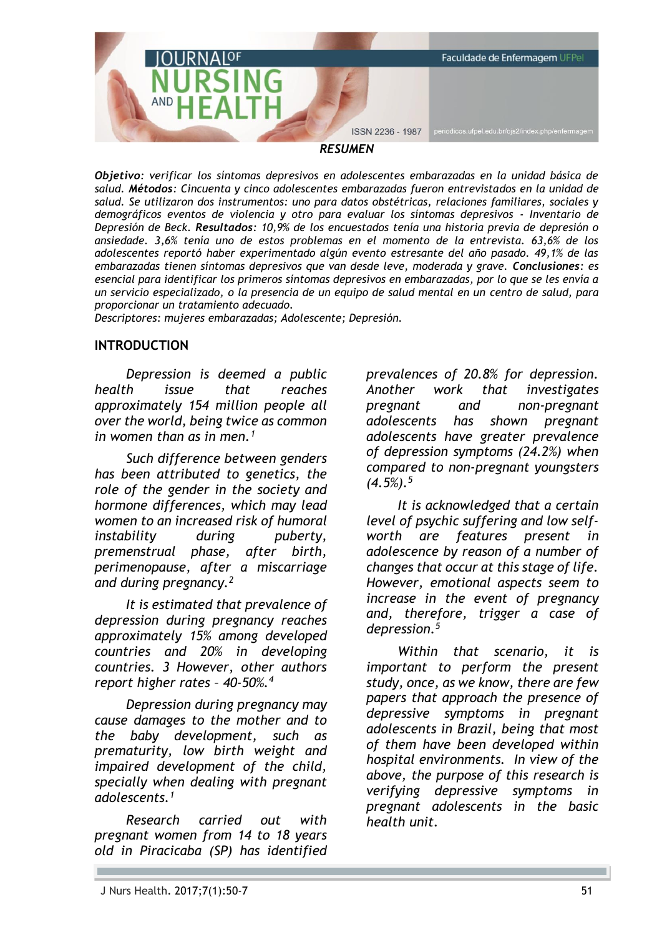

*Objetivo: verificar los síntomas depresivos en adolescentes embarazadas en la unidad básica de salud. Métodos: Cincuenta y cinco adolescentes embarazadas fueron entrevistados en la unidad de salud. Se utilizaron dos instrumentos: uno para datos obstétricas, relaciones familiares, sociales y demográficos eventos de violencia y otro para evaluar los síntomas depresivos - Inventario de Depresión de Beck. Resultados: 10,9% de los encuestados tenía una historia previa de depresión o ansiedade. 3,6% tenía uno de estos problemas en el momento de la entrevista. 63,6% de los adolescentes reportó haber experimentado algún evento estresante del año pasado. 49,1% de las embarazadas tienen síntomas depresivos que van desde leve, moderada y grave. Conclusiones: es esencial para identificar los primeros síntomas depresivos en embarazadas, por lo que se les envía a un servicio especializado, o la presencia de un equipo de salud mental en un centro de salud, para proporcionar un tratamiento adecuado.*

*Descriptores: mujeres embarazadas; Adolescente; Depresión.*

### **INTRODUCTION**

*Depression is deemed a public health issue that reaches approximately 154 million people all over the world, being twice as common in women than as in men.<sup>1</sup>*

*Such difference between genders has been attributed to genetics, the role of the gender in the society and hormone differences, which may lead women to an increased risk of humoral instability during puberty, premenstrual phase, after birth, perimenopause, after a miscarriage and during pregnancy.<sup>2</sup>*

*It is estimated that prevalence of depression during pregnancy reaches approximately 15% among developed countries and 20% in developing countries. 3 However, other authors report higher rates – 40-50%.<sup>4</sup>*

*Depression during pregnancy may cause damages to the mother and to the baby development, such as prematurity, low birth weight and impaired development of the child, specially when dealing with pregnant adolescents.<sup>1</sup>*

*Research carried out with pregnant women from 14 to 18 years old in Piracicaba (SP) has identified*  *prevalences of 20.8% for depression. Another work that investigates pregnant and non-pregnant adolescents has shown pregnant adolescents have greater prevalence of depression symptoms (24.2%) when compared to non-pregnant youngsters (4.5%).<sup>5</sup>*

*It is acknowledged that a certain level of psychic suffering and low selfworth are features present in adolescence by reason of a number of changes that occur at this stage of life. However, emotional aspects seem to increase in the event of pregnancy and, therefore, trigger a case of depression.<sup>5</sup>*

*Within that scenario, it is important to perform the present study, once, as we know, there are few papers that approach the presence of depressive symptoms in pregnant adolescents in Brazil, being that most of them have been developed within hospital environments. In view of the above, the purpose of this research is verifying depressive symptoms in pregnant adolescents in the basic health unit.*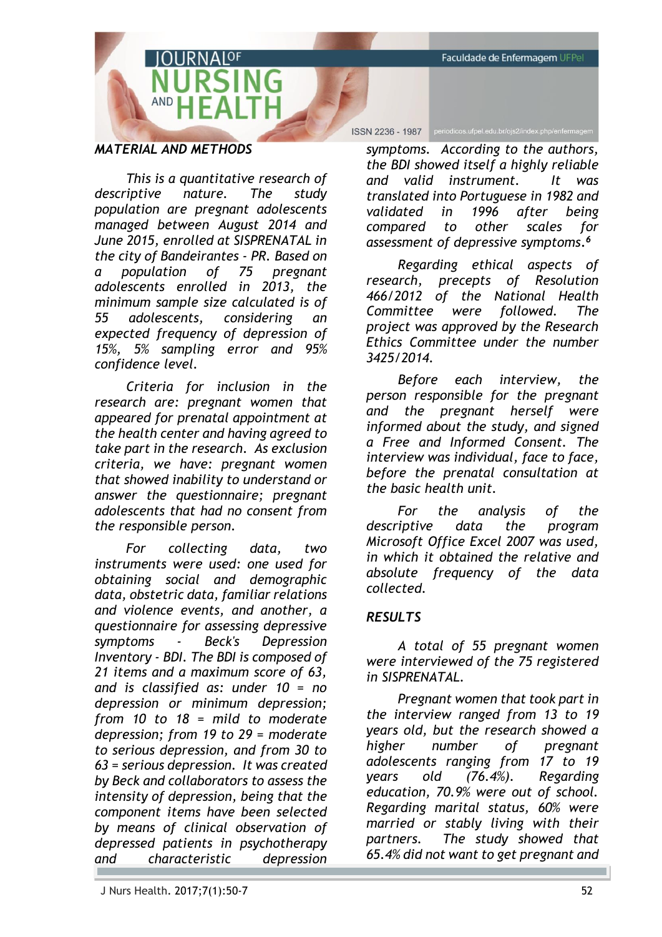Faculdade de Enfermagem UFPel

# *MATERIAL AND METHODS*

*This is a quantitative research of descriptive nature. The study population are pregnant adolescents managed between August 2014 and June 2015, enrolled at SISPRENATAL in the city of Bandeirantes - PR. Based on a population of 75 pregnant adolescents enrolled in 2013, the minimum sample size calculated is of 55 adolescents, considering an expected frequency of depression of 15%, 5% sampling error and 95% confidence level.*

 $RNAIOF$ 

*Criteria for inclusion in the research are: pregnant women that appeared for prenatal appointment at the health center and having agreed to take part in the research. As exclusion criteria, we have: pregnant women that showed inability to understand or answer the questionnaire; pregnant adolescents that had no consent from the responsible person.*

*For collecting data, two instruments were used: one used for obtaining social and demographic data, obstetric data, familiar relations and violence events, and another, a questionnaire for assessing depressive symptoms - Beck's Depression Inventory - BDI. The BDI is composed of 21 items and a maximum score of 63, and is classified as: under 10 = no depression or minimum depression; from 10 to 18 = mild to moderate depression; from 19 to 29 = moderate to serious depression, and from 30 to 63 = serious depression. It was created by Beck and collaborators to assess the intensity of depression, being that the component items have been selected by means of clinical observation of depressed patients in psychotherapy and characteristic depression* 

ISSN 2236 - 1987 periodicos.ufpel.edu.br/ojs2/index.php/enfermagem

*symptoms. According to the authors, the BDI showed itself a highly reliable and valid instrument. It was translated into Portuguese in 1982 and validated in 1996 after being compared to other scales for assessment of depressive symptoms. 6*

*Regarding ethical aspects of research, precepts of Resolution 466/2012 of the National Health Committee were followed. The project was approved by the Research Ethics Committee under the number 3425/2014.*

*Before each interview, the person responsible for the pregnant and the pregnant herself were informed about the study, and signed a Free and Informed Consent. The interview was individual, face to face, before the prenatal consultation at the basic health unit.* 

*For the analysis of the descriptive data the program Microsoft Office Excel 2007 was used, in which it obtained the relative and absolute frequency of the data collected.*

## *RESULTS*

*A total of 55 pregnant women were interviewed of the 75 registered in SISPRENATAL.*

*Pregnant women that took part in the interview ranged from 13 to 19 years old, but the research showed a higher number of pregnant adolescents ranging from 17 to 19 years old (76.4%). Regarding education, 70.9% were out of school. Regarding marital status, 60% were married or stably living with their partners. The study showed that 65.4% did not want to get pregnant and*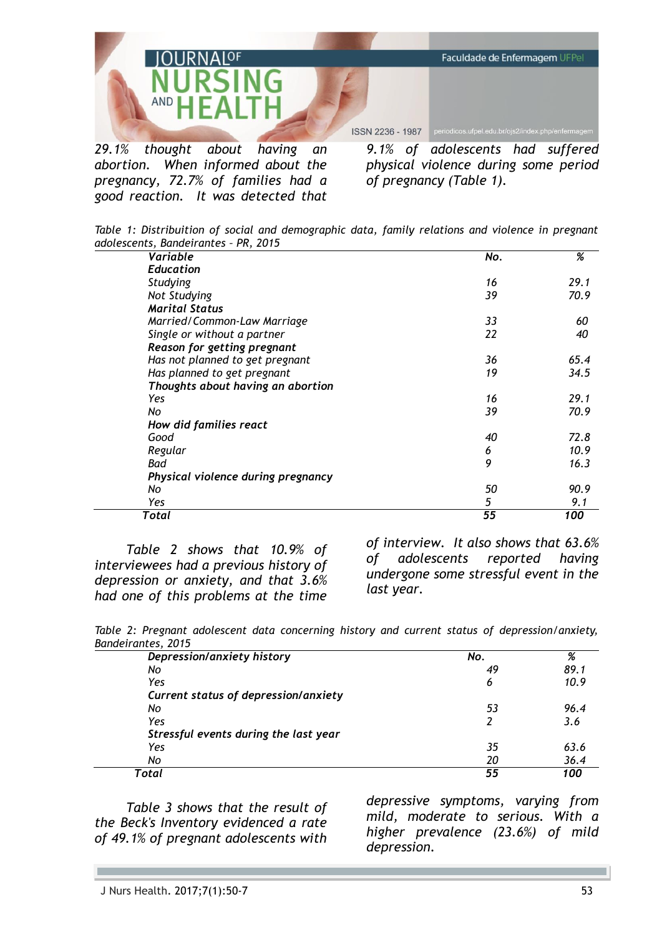

*29.1% thought about having an abortion. When informed about the pregnancy, 72.7% of families had a good reaction. It was detected that* 

*9.1% of adolescents had suffered physical violence during some period of pregnancy (Table 1).* 

|  | Table 1: Distribuition of social and demographic data, family relations and violence in pregnant |  |  |  |  |  |  |
|--|--------------------------------------------------------------------------------------------------|--|--|--|--|--|--|
|  | adolescents, Bandeirantes - PR, 2015                                                             |  |  |  |  |  |  |

| Variable                           | No. | %    |
|------------------------------------|-----|------|
| <b>Education</b>                   |     |      |
| Studying                           | 16  | 29.1 |
| Not Studying                       | 39  | 70.9 |
| <b>Marital Status</b>              |     |      |
| Married/Common-Law Marriage        | 33  | 60   |
| Single or without a partner        | 22  | 40   |
| Reason for getting pregnant        |     |      |
| Has not planned to get pregnant    | 36  | 65.4 |
| Has planned to get pregnant        | 19  | 34.5 |
| Thoughts about having an abortion  |     |      |
| Yes                                | 16  | 29.1 |
| No                                 | 39  | 70.9 |
| How did families react             |     |      |
| Good                               | 40  | 72.8 |
| Regular                            | 6   | 10.9 |
| Bad                                | 9   | 16.3 |
| Physical violence during pregnancy |     |      |
| No                                 | 50  | 90.9 |
| Yes                                | 5   | 9.1  |
| Total                              | 55  | 100  |

*Table 2 shows that 10.9% of interviewees had a previous history of depression or anxiety, and that 3.6% had one of this problems at the time* 

*of interview. It also shows that 63.6% of adolescents reported having undergone some stressful event in the last year.*

*Table 2: Pregnant adolescent data concerning history and current status of depression/anxiety, Bandeirantes, 2015*

| Depression/anxiety history            | No. | %    |
|---------------------------------------|-----|------|
| Nο                                    | 49  | 89.1 |
| Yes                                   | 6   | 10.9 |
| Current status of depression/anxiety  |     |      |
| No                                    | 53  | 96.4 |
| Yes                                   | 2   | 3.6  |
| Stressful events during the last year |     |      |
| Yes                                   | 35  | 63.6 |
| No                                    | 20  | 36.4 |
| Total                                 | 55  | 100  |

*Table 3 shows that the result of the Beck's Inventory evidenced a rate of 49.1% of pregnant adolescents with* 

*depressive symptoms, varying from mild, moderate to serious. With a higher prevalence (23.6%) of mild depression.*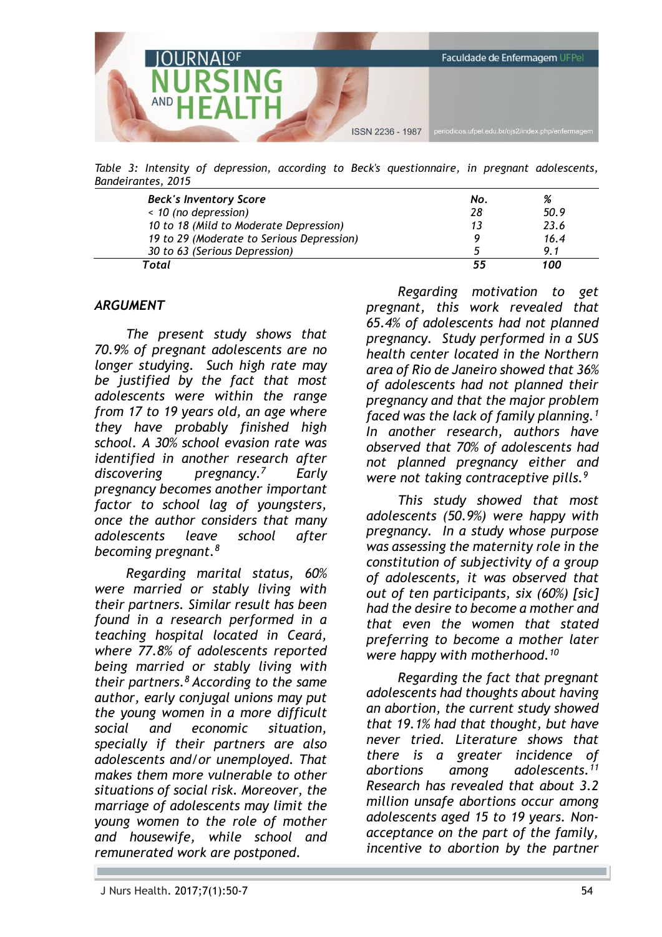

*Table 3: Intensity of depression, according to Beck's questionnaire, in pregnant adolescents, Bandeirantes, 2015*

| <b>Beck's Inventory Score</b>             | No. | %     |
|-------------------------------------------|-----|-------|
| < 10 (no depression)                      | 28  | 50.9  |
| 10 to 18 (Mild to Moderate Depression)    |     | 23.6  |
| 19 to 29 (Moderate to Serious Depression) |     | 16.4  |
| 30 to 63 (Serious Depression)             |     | 91    |
| Total                                     |     | 1 N N |

### *ARGUMENT*

*The present study shows that 70.9% of pregnant adolescents are no longer studying. Such high rate may be justified by the fact that most adolescents were within the range from 17 to 19 years old, an age where they have probably finished high school. A 30% school evasion rate was identified in another research after discovering pregnancy.<sup>7</sup>Early pregnancy becomes another important factor to school lag of youngsters, once the author considers that many adolescents leave school after becoming pregnant.<sup>8</sup>*

*Regarding marital status, 60% were married or stably living with their partners. Similar result has been found in a research performed in a teaching hospital located in Ceará, where 77.8% of adolescents reported being married or stably living with their partners.<sup>8</sup>According to the same author, early conjugal unions may put the young women in a more difficult social and economic situation, specially if their partners are also adolescents and/or unemployed. That makes them more vulnerable to other situations of social risk. Moreover, the marriage of adolescents may limit the young women to the role of mother and housewife, while school and remunerated work are postponed.* 

*Regarding motivation to get pregnant, this work revealed that 65.4% of adolescents had not planned pregnancy. Study performed in a SUS health center located in the Northern area of Rio de Janeiro showed that 36% of adolescents had not planned their pregnancy and that the major problem faced was the lack of family planning.<sup>1</sup> In another research, authors have observed that 70% of adolescents had not planned pregnancy either and were not taking contraceptive pills.<sup>9</sup>*

*This study showed that most adolescents (50.9%) were happy with pregnancy. In a study whose purpose was assessing the maternity role in the constitution of subjectivity of a group of adolescents, it was observed that out of ten participants, six (60%) [sic] had the desire to become a mother and that even the women that stated preferring to become a mother later were happy with motherhood.<sup>10</sup>*

*Regarding the fact that pregnant adolescents had thoughts about having an abortion, the current study showed that 19.1% had that thought, but have never tried. Literature shows that there is a greater incidence of abortions among adolescents.<sup>11</sup> Research has revealed that about 3.2 million unsafe abortions occur among adolescents aged 15 to 19 years. Nonacceptance on the part of the family, incentive to abortion by the partner*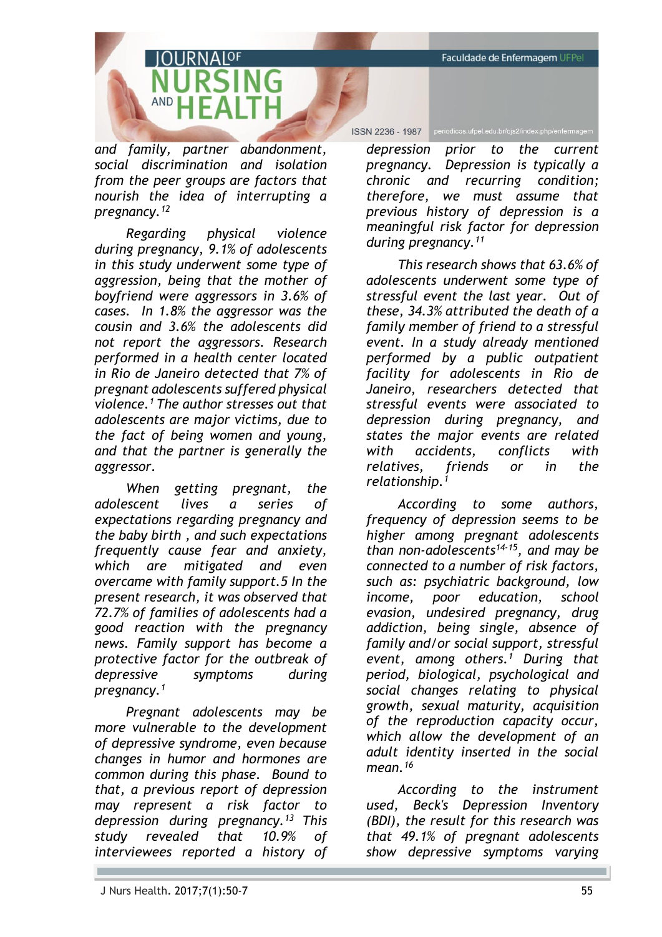Faculdade de Enfermagem UFPel

*and family, partner abandonment, social discrimination and isolation from the peer groups are factors that nourish the idea of interrupting a pregnancy.<sup>12</sup>*

*Regarding physical violence during pregnancy, 9.1% of adolescents in this study underwent some type of aggression, being that the mother of boyfriend were aggressors in 3.6% of cases. In 1.8% the aggressor was the cousin and 3.6% the adolescents did not report the aggressors. Research performed in a health center located in Rio de Janeiro detected that 7% of pregnant adolescents suffered physical violence.<sup>1</sup>The author stresses out that adolescents are major victims, due to the fact of being women and young, and that the partner is generally the aggressor.* 

*When getting pregnant, the adolescent lives a series of expectations regarding pregnancy and the baby birth , and such expectations frequently cause fear and anxiety, which are mitigated and even overcame with family support.5 In the present research, it was observed that 72.7% of families of adolescents had a good reaction with the pregnancy news. Family support has become a protective factor for the outbreak of depressive symptoms during pregnancy.<sup>1</sup>*

*Pregnant adolescents may be more vulnerable to the development of depressive syndrome, even because changes in humor and hormones are common during this phase. Bound to that, a previous report of depression may represent a risk factor to depression during pregnancy.<sup>13</sup>This study revealed that 10.9% of interviewees reported a history of* 

ISSN 2236 - 1987 periodicos.ufpel.edu.br/ojs2/index.php/enfermagem

*depression prior to the current pregnancy. Depression is typically a chronic and recurring condition; therefore, we must assume that previous history of depression is a meaningful risk factor for depression during pregnancy.<sup>11</sup>*

*This research shows that 63.6% of adolescents underwent some type of stressful event the last year. Out of these, 34.3% attributed the death of a family member of friend to a stressful event. In a study already mentioned performed by a public outpatient facility for adolescents in Rio de Janeiro, researchers detected that stressful events were associated to depression during pregnancy, and states the major events are related with accidents, conflicts with relatives, friends or in the relationship.<sup>1</sup>*

*According to some authors, frequency of depression seems to be higher among pregnant adolescents than non-adolescents14-15, and may be connected to a number of risk factors, such as: psychiatric background, low income, poor education, school evasion, undesired pregnancy, drug addiction, being single, absence of family and/or social support, stressful event, among others. <sup>1</sup> During that period, biological, psychological and social changes relating to physical growth, sexual maturity, acquisition of the reproduction capacity occur, which allow the development of an adult identity inserted in the social mean.<sup>16</sup>*

*According to the instrument used, Beck's Depression Inventory (BDI), the result for this research was that 49.1% of pregnant adolescents show depressive symptoms varying*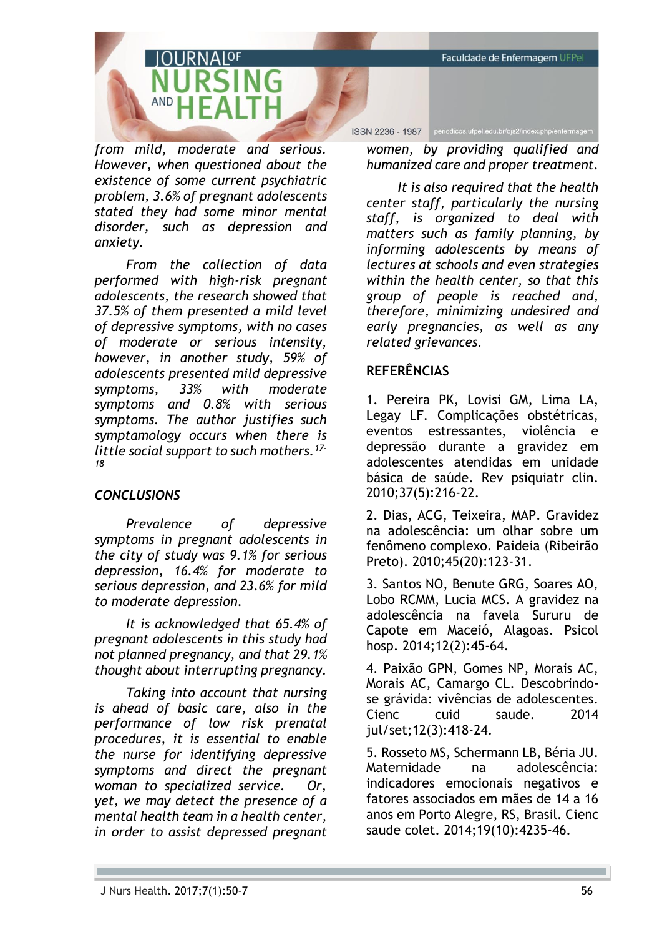Faculdade de Enfermagem UFPel

*from mild, moderate and serious. However, when questioned about the existence of some current psychiatric problem, 3.6% of pregnant adolescents stated they had some minor mental disorder, such as depression and anxiety.* 

*From the collection of data performed with high-risk pregnant adolescents, the research showed that 37.5% of them presented a mild level of depressive symptoms, with no cases of moderate or serious intensity, however, in another study, 59% of adolescents presented mild depressive symptoms, 33% with moderate symptoms and 0.8% with serious symptoms. The author justifies such symptamology occurs when there is little social support to such mothers.17- 18*

## *CONCLUSIONS*

*Prevalence of depressive symptoms in pregnant adolescents in the city of study was 9.1% for serious depression, 16.4% for moderate to serious depression, and 23.6% for mild to moderate depression.* 

*It is acknowledged that 65.4% of pregnant adolescents in this study had not planned pregnancy, and that 29.1% thought about interrupting pregnancy.* 

*Taking into account that nursing is ahead of basic care, also in the performance of low risk prenatal procedures, it is essential to enable the nurse for identifying depressive symptoms and direct the pregnant woman to specialized service. Or, yet, we may detect the presence of a mental health team in a health center, in order to assist depressed pregnant* 

ISSN 2236 - 1987 periodicos.ufpel.edu.br/ojs2/index.php/enfermagem

*women, by providing qualified and humanized care and proper treatment.*

*It is also required that the health center staff, particularly the nursing staff, is organized to deal with matters such as family planning, by informing adolescents by means of lectures at schools and even strategies within the health center, so that this group of people is reached and, therefore, minimizing undesired and early pregnancies, as well as any related grievances.* 

### **REFERÊNCIAS**

1. Pereira PK, Lovisi GM, Lima LA, Legay LF. Complicações obstétricas, eventos estressantes, violência e depressão durante a gravidez em adolescentes atendidas em unidade básica de saúde. Rev psiquiatr clin. 2010;37(5):216-22.

2. Dias, ACG, Teixeira, MAP. Gravidez na adolescência: um olhar sobre um fenômeno complexo. Paideia (Ribeirão Preto). 2010;45(20):123-31.

3. Santos NO, Benute GRG, Soares AO, Lobo RCMM, Lucia MCS. A gravidez na adolescência na favela Sururu de Capote em Maceió, Alagoas. Psicol hosp. 2014;12(2):45-64.

4. Paixão GPN, Gomes NP, Morais AC, Morais AC, Camargo CL. Descobrindose grávida: vivências de adolescentes. Cienc cuid saude. 2014 jul/set;12(3):418-24.

5. Rosseto MS, Schermann LB, Béria JU. Maternidade na adolescência: indicadores emocionais negativos e fatores associados em mães de 14 a 16 anos em Porto Alegre, RS, Brasil. Cienc saude colet. 2014;19(10):4235-46.